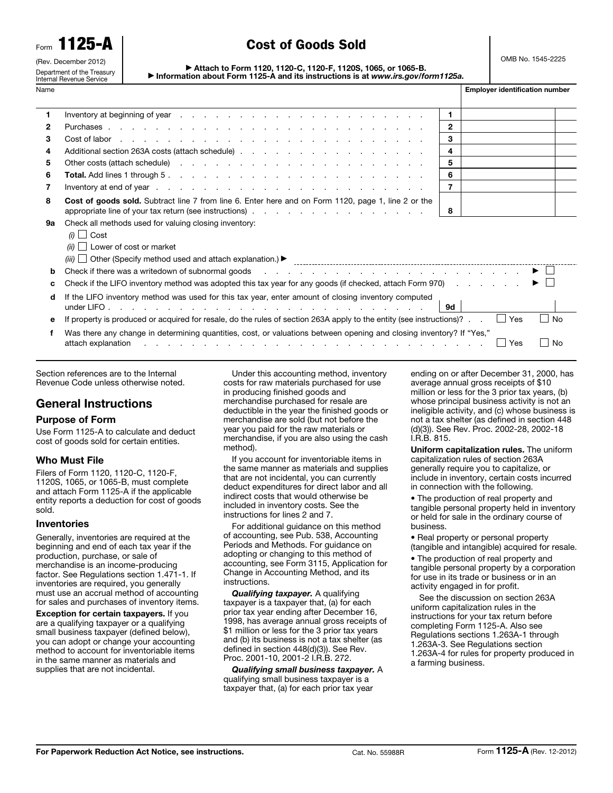# $F_{\text{form}}$  1125- $\Delta$

(Rev. December 2012)

| Department of the Treasury |
|----------------------------|
| Internal Revenue Service   |
| $\ddot{\phantom{1}}$       |

Cost of Goods Sold

OMB No. 1545-2225

| ▶ Attach to Form 1120, 1120-C, 1120-F, 1120S, 1065, or 1065-B.                  |  |
|---------------------------------------------------------------------------------|--|
| Information about Form 1125-A and its instructions is at www.irs.gov/form1125a. |  |

| Name |                                                                                                                                                                                                                                                                                                                                                                             | <b>Employer identification number</b> |
|------|-----------------------------------------------------------------------------------------------------------------------------------------------------------------------------------------------------------------------------------------------------------------------------------------------------------------------------------------------------------------------------|---------------------------------------|
|      | 1.                                                                                                                                                                                                                                                                                                                                                                          |                                       |
| 2    | $\mathbf{2}$                                                                                                                                                                                                                                                                                                                                                                |                                       |
| з    | 3                                                                                                                                                                                                                                                                                                                                                                           |                                       |
| 4    | Additional section 263A costs (attach schedule) example and a section of the section of the section of the section of the section of the section of the section of the section of the section of the section of the section of<br>4                                                                                                                                         |                                       |
| 5    | 5<br>Other costs (attach schedule) expansion and containing the costs (attach schedule) expansion and containing the cost of the cost of the cost of the cost of the cost of the cost of the cost of the cost of the cost of the co                                                                                                                                         |                                       |
| 6    | 6                                                                                                                                                                                                                                                                                                                                                                           |                                       |
| 7    | $\overline{7}$                                                                                                                                                                                                                                                                                                                                                              |                                       |
| 8    | Cost of goods sold. Subtract line 7 from line 6. Enter here and on Form 1120, page 1, line 2 or the<br>8                                                                                                                                                                                                                                                                    |                                       |
| 9а   | Check all methods used for valuing closing inventory:<br>$(i)$   Cost<br>$(ii)$ Lower of cost or market                                                                                                                                                                                                                                                                     |                                       |
| b    |                                                                                                                                                                                                                                                                                                                                                                             |                                       |
| c    | Check if the LIFO inventory method was adopted this tax year for any goods (if checked, attach Form 970)                                                                                                                                                                                                                                                                    |                                       |
| d    | If the LIFO inventory method was used for this tax year, enter amount of closing inventory computed<br>9d                                                                                                                                                                                                                                                                   |                                       |
| е    | If property is produced or acquired for resale, do the rules of section 263A apply to the entity (see instructions)?                                                                                                                                                                                                                                                        | No<br>Yes                             |
|      | Was there any change in determining quantities, cost, or valuations between opening and closing inventory? If "Yes,"<br>attach explanation<br>a construction of the construction of the construction of the construction of the construction of the construction of the construction of the construction of the construction of the construction of the construction of the | <b>No</b><br>Yes                      |

Section references are to the Internal Revenue Code unless otherwise noted.

## General Instructions

#### Purpose of Form

Use Form 1125-A to calculate and deduct cost of goods sold for certain entities.

#### Who Must File

Filers of Form 1120, 1120-C, 1120-F, 1120S, 1065, or 1065-B, must complete and attach Form 1125-A if the applicable entity reports a deduction for cost of goods sold.

#### Inventories

Generally, inventories are required at the beginning and end of each tax year if the production, purchase, or sale of merchandise is an income-producing factor. See Regulations section 1.471-1. If inventories are required, you generally must use an accrual method of accounting for sales and purchases of inventory items.

Exception for certain taxpayers. If you are a qualifying taxpayer or a qualifying small business taxpayer (defined below), you can adopt or change your accounting method to account for inventoriable items in the same manner as materials and supplies that are not incidental.

Under this accounting method, inventory costs for raw materials purchased for use in producing finished goods and merchandise purchased for resale are deductible in the year the finished goods or merchandise are sold (but not before the year you paid for the raw materials or merchandise, if you are also using the cash method).

If you account for inventoriable items in the same manner as materials and supplies that are not incidental, you can currently deduct expenditures for direct labor and all indirect costs that would otherwise be included in inventory costs. See the instructions for lines 2 and 7.

For additional guidance on this method of accounting, see Pub. 538, Accounting Periods and Methods. For guidance on adopting or changing to this method of accounting, see Form 3115, Application for Change in Accounting Method, and its instructions.

*Qualifying taxpayer.* A qualifying taxpayer is a taxpayer that, (a) for each prior tax year ending after December 16, 1998, has average annual gross receipts of \$1 million or less for the 3 prior tax years and (b) its business is not a tax shelter (as defined in section 448(d)(3)). See Rev. Proc. 2001-10, 2001-2 I.R.B. 272.

*Qualifying small business taxpayer.* A qualifying small business taxpayer is a taxpayer that, (a) for each prior tax year

ending on or after December 31, 2000, has average annual gross receipts of \$10 million or less for the 3 prior tax years, (b) whose principal business activity is not an ineligible activity, and (c) whose business is not a tax shelter (as defined in section 448 (d)(3)). See Rev. Proc. 2002-28, 2002-18 I.R.B. 815.

Uniform capitalization rules. The uniform capitalization rules of section 263A generally require you to capitalize, or include in inventory, certain costs incurred in connection with the following.

• The production of real property and tangible personal property held in inventory or held for sale in the ordinary course of business.

• Real property or personal property (tangible and intangible) acquired for resale.

• The production of real property and tangible personal property by a corporation for use in its trade or business or in an activity engaged in for profit.

See the discussion on section 263A uniform capitalization rules in the instructions for your tax return before completing Form 1125-A. Also see Regulations sections 1.263A-1 through 1.263A-3. See Regulations section 1.263A-4 for rules for property produced in a farming business.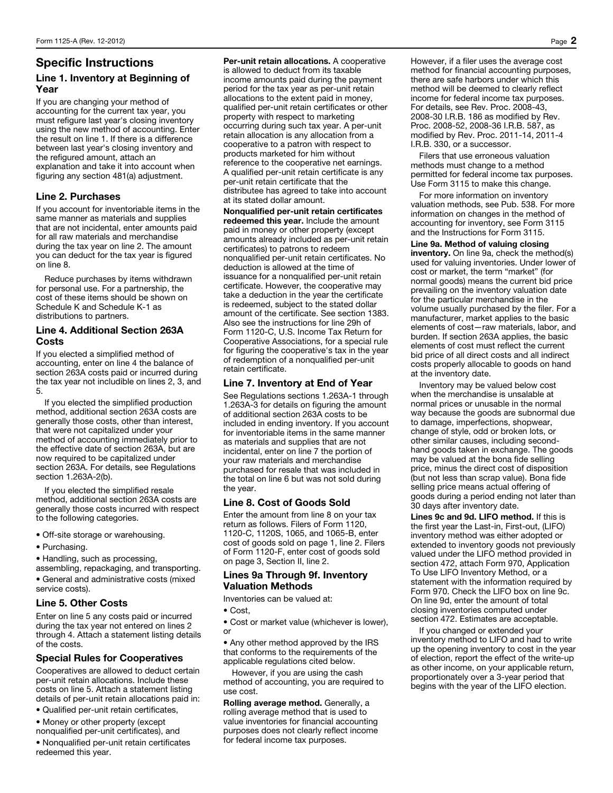## Specific Instructions

### Line 1. Inventory at Beginning of Year

If you are changing your method of accounting for the current tax year, you must refigure last year's closing inventory using the new method of accounting. Enter the result on line 1. If there is a difference between last year's closing inventory and the refigured amount, attach an explanation and take it into account when figuring any section 481(a) adjustment.

## Line 2. Purchases

If you account for inventoriable items in the same manner as materials and supplies that are not incidental, enter amounts paid for all raw materials and merchandise during the tax year on line 2. The amount you can deduct for the tax year is figured on line 8.

Reduce purchases by items withdrawn for personal use. For a partnership, the cost of these items should be shown on Schedule K and Schedule K-1 as distributions to partners.

#### Line 4. Additional Section 263A **Costs**

If you elected a simplified method of accounting, enter on line 4 the balance of section 263A costs paid or incurred during the tax year not includible on lines 2, 3, and 5.

If you elected the simplified production method, additional section 263A costs are generally those costs, other than interest, that were not capitalized under your method of accounting immediately prior to the effective date of section 263A, but are now required to be capitalized under section 263A. For details, see Regulations section 1.263A-2(b).

If you elected the simplified resale method, additional section 263A costs are generally those costs incurred with respect to the following categories.

- Off-site storage or warehousing.
- Purchasing.

• Handling, such as processing,

assembling, repackaging, and transporting. • General and administrative costs (mixed service costs).

## Line 5. Other Costs

Enter on line 5 any costs paid or incurred during the tax year not entered on lines 2 through 4. Attach a statement listing details of the costs.

## Special Rules for Cooperatives

Cooperatives are allowed to deduct certain per-unit retain allocations. Include these costs on line 5. Attach a statement listing details of per-unit retain allocations paid in:

- Qualified per-unit retain certificates,
- Money or other property (except

nonqualified per-unit certificates), and • Nonqualified per-unit retain certificates redeemed this year.

Per-unit retain allocations. A cooperative is allowed to deduct from its taxable income amounts paid during the payment period for the tax year as per-unit retain allocations to the extent paid in money, qualified per-unit retain certificates or other property with respect to marketing occurring during such tax year. A per-unit retain allocation is any allocation from a cooperative to a patron with respect to products marketed for him without reference to the cooperative net earnings. A qualified per-unit retain certificate is any per-unit retain certificate that the distributee has agreed to take into account at its stated dollar amount.

Nonqualified per-unit retain certificates redeemed this year. Include the amount paid in money or other property (except amounts already included as per-unit retain certificates) to patrons to redeem nonqualified per-unit retain certificates. No deduction is allowed at the time of issuance for a nonqualified per-unit retain certificate. However, the cooperative may take a deduction in the year the certificate is redeemed, subject to the stated dollar amount of the certificate. See section 1383. Also see the instructions for line 29h of Form 1120-C, U.S. Income Tax Return for Cooperative Associations, for a special rule for figuring the cooperative's tax in the year of redemption of a nonqualified per-unit retain certificate.

#### Line 7. Inventory at End of Year

See Regulations sections 1.263A-1 through 1.263A-3 for details on figuring the amount of additional section 263A costs to be included in ending inventory. If you account for inventoriable items in the same manner as materials and supplies that are not incidental, enter on line 7 the portion of your raw materials and merchandise purchased for resale that was included in the total on line 6 but was not sold during the year.

## Line 8. Cost of Goods Sold

Enter the amount from line 8 on your tax return as follows. Filers of Form 1120, 1120-C, 1120S, 1065, and 1065-B, enter cost of goods sold on page 1, line 2. Filers of Form 1120-F, enter cost of goods sold on page 3, Section II, line 2.

#### Lines 9a Through 9f. Inventory Valuation Methods

Inventories can be valued at:

• Cost,

• Cost or market value (whichever is lower), or

• Any other method approved by the IRS that conforms to the requirements of the applicable regulations cited below.

However, if you are using the cash method of accounting, you are required to use cost.

Rolling average method. Generally, a rolling average method that is used to value inventories for financial accounting purposes does not clearly reflect income for federal income tax purposes.

However, if a filer uses the average cost method for financial accounting purposes, there are safe harbors under which this method will be deemed to clearly reflect income for federal income tax purposes. For details, see Rev. Proc. 2008-43, 2008-30 I.R.B. 186 as modified by Rev. Proc. 2008-52, 2008-36 I.R.B. 587, as modified by Rev. Proc. 2011-14, 2011-4 I.R.B. 330, or a successor.

Filers that use erroneous valuation methods must change to a method permitted for federal income tax purposes. Use Form 3115 to make this change.

For more information on inventory valuation methods, see Pub. 538. For more information on changes in the method of accounting for inventory, see Form 3115 and the Instructions for Form 3115.

Line 9a. Method of valuing closing inventory. On line 9a, check the method(s) used for valuing inventories. Under lower of cost or market, the term "market" (for normal goods) means the current bid price prevailing on the inventory valuation date for the particular merchandise in the volume usually purchased by the filer. For a manufacturer, market applies to the basic elements of cost—raw materials, labor, and burden. If section 263A applies, the basic elements of cost must reflect the current bid price of all direct costs and all indirect costs properly allocable to goods on hand at the inventory date.

Inventory may be valued below cost when the merchandise is unsalable at normal prices or unusable in the normal way because the goods are subnormal due to damage, imperfections, shopwear, change of style, odd or broken lots, or other similar causes, including secondhand goods taken in exchange. The goods may be valued at the bona fide selling price, minus the direct cost of disposition (but not less than scrap value). Bona fide selling price means actual offering of goods during a period ending not later than 30 days after inventory date.

Lines 9c and 9d. LIFO method. If this is the first year the Last-in, First-out, (LIFO) inventory method was either adopted or extended to inventory goods not previously valued under the LIFO method provided in section 472, attach Form 970, Application To Use LIFO Inventory Method, or a statement with the information required by Form 970. Check the LIFO box on line 9c. On line 9d, enter the amount of total closing inventories computed under section 472. Estimates are acceptable.

If you changed or extended your inventory method to LIFO and had to write up the opening inventory to cost in the year of election, report the effect of the write-up as other income, on your applicable return, proportionately over a 3-year period that begins with the year of the LIFO election.